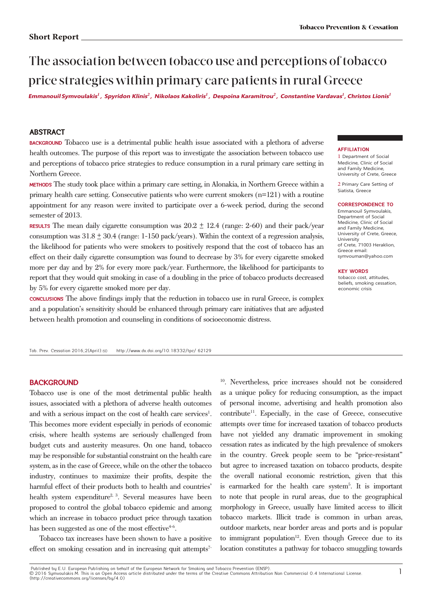# The association between tobacco use and perceptions of tobacco price strategies within primary care patients in rural Greece

Emmanouil Symvoulakis<sup>1</sup> , Spyridon Klinis<sup>2</sup> , Nikolaos Kakoliris<sup>1</sup> , Despoina Karamitrou<sup>2</sup> , Constantine Vardavas<sup>1</sup>, Christos Lionis<sup>1</sup>

## **Abstract**

**Background** Tobacco use is a detrimental public health issue associated with a plethora of adverse health outcomes. The purpose of this report was to investigate the association between tobacco use and perceptions of tobacco price strategies to reduce consumption in a rural primary care setting in Northern Greece.

**Methods** The study took place within a primary care setting, in Alonakia, in Northern Greece within a primary health care setting. Consecutive patients who were current smokers (n=121) with a routine appointment for any reason were invited to participate over a 6-week period, during the second semester of 2013.

**RESULTS** The mean daily cigarette consumption was  $20.2 \pm 12.4$  (range: 2-60) and their pack/year consumption was  $31.8 \pm 30.4$  (range: 1-150 pack/years). Within the context of a regression analysis, the likelihood for patients who were smokers to positively respond that the cost of tobacco has an effect on their daily cigarette consumption was found to decrease by 3% for every cigarette smoked more per day and by 2% for every more pack/year. Furthermore, the likelihood for participants to report that they would quit smoking in case of a doubling in the price of tobacco products decreased by 5% for every cigarette smoked more per day.

**Conclusions** The above findings imply that the reduction in tobacco use in rural Greece, is complex and a population's sensitivity should be enhanced through primary care initiatives that are adjusted between health promotion and counseling in conditions of socioeconomic distress.

Tob. Prev. Cessation 2016:2(April):60 http://www.dx.doi.org/10.18332/tpc/ 62129

#### **BACKGROUND**

Tobacco use is one of the most detrimental public health issues, associated with a plethora of adverse health outcomes and with a serious impact on the cost of health care services<sup>1</sup>. This becomes more evident especially in periods of economic crisis, where health systems are seriously challenged from budget cuts and austerity measures. On one hand, tobacco may be responsible for substantial constraint on the health care system, as in the case of Greece, while on the other the tobacco industry, continues to maximize their profits, despite the harmful effect of their products both to health and countries' health system expenditure<sup>2, 3</sup>. Several measures have been proposed to control the global tobacco epidemic and among which an increase in tobacco product price through taxation has been suggested as one of the most effective $4-6$ .

Tobacco tax increases have been shown to have a positive effect on smoking cessation and in increasing quit attempts<sup>7-</sup>

10. Nevertheless, price increases should not be considered as a unique policy for reducing consumption, as the impact of personal income, advertising and health promotion also  $\text{contribute}^{11}$ . Especially, in the case of Greece, consecutive attempts over time for increased taxation of tobacco products have not yielded any dramatic improvement in smoking cessation rates as indicated by the high prevalence of smokers in the country. Greek people seem to be "price-resistant" but agree to increased taxation on tobacco products, despite the overall national economic restriction, given that this is earmarked for the health care system<sup>5</sup>. It is important to note that people in rural areas, due to the geographical morphology in Greece, usually have limited access to illicit tobacco markets. Illicit trade is common in urban areas, outdoor markets, near border areas and ports and is popular to immigrant population<sup>12</sup>. Even though Greece due to its location constitutes a pathway for tobacco smuggling towards

#### **aFFILIaTIon**

1 Department of Social Medicine, Clinic of Social and Family Medicine, University of Crete, Greece

2 Primary Care Setting of Siatista, Greece

#### **corrESPondEncE To**

Emmanouil Symvoulakis, Department of Social Medicine, Clinic of Social and Family Medicine, University of Crete, Greece, University of Crete, 71003 Heraklion, Greece email: symvouman@yahoo.com

#### **KEY WORDS**

tobacco cost, attitudes, beliefs, smoking cessation, economic crisis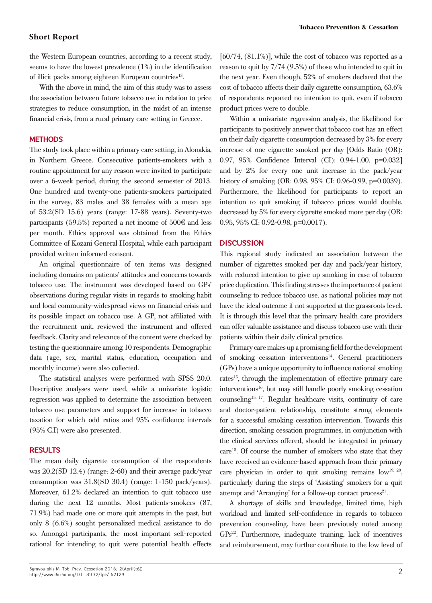## **Short Report**

the Western European countries, according to a recent study, seems to have the lowest prevalence (1%) in the identification of illicit packs among eighteen European countries<sup>13</sup>.

With the above in mind, the aim of this study was to assess the association between future tobacco use in relation to price strategies to reduce consumption, in the midst of an intense financial crisis, from a rural primary care setting in Greece.

# **Methods**

The study took place within a primary care setting, in Alonakia, in Northern Greece. Consecutive patients-smokers with a routine appointment for any reason were invited to participate over a 6-week period, during the second semester of 2013. One hundred and twenty-one patients-smokers participated in the survey, 83 males and 38 females with a mean age of 53.2(SD 15.6) years (range: 17-88 years). Seventy-two participants (59.5%) reported a net income of 500€ and less per month. Ethics approval was obtained from the Ethics Committee of Kozani General Hospital, while each participant provided written informed consent.

An original questionnaire of ten items was designed including domains on patients' attitudes and concerns towards tobacco use. The instrument was developed based on GPs' observations during regular visits in regards to smoking habit and local community-widespread views on financial crisis and its possible impact on tobacco use. A GP, not affiliated with the recruitment unit, reviewed the instrument and offered feedback. Clarity and relevance of the content were checked by testing the questionnaire among 10 respondents. Demographic data (age, sex, marital status, education, occupation and monthly income) were also collected.

The statistical analyses were performed with SPSS 20.0. Descriptive analyses were used, while a univariate logistic regression was applied to determine the association between tobacco use parameters and support for increase in tobacco taxation for which odd ratios and 95% confidence intervals (95% C.I) were also presented.

## **Results**

The mean daily cigarette consumption of the respondents was 20.2(SD 12.4) (range: 2-60) and their average pack/year consumption was 31.8(SD 30.4) (range: 1-150 pack/years). Moreover, 61.2% declared an intention to quit tobacco use during the next 12 months. Most patients-smokers (87, 71.9%) had made one or more quit attempts in the past, but only 8 (6.6%) sought personalized medical assistance to do so. Amongst participants, the most important self-reported rational for intending to quit were potential health effects

 $[60/74, (81.1\%)]$ , while the cost of tobacco was reported as a reason to quit by 7/74 (9.5%) of those who intended to quit in the next year. Even though, 52% of smokers declared that the cost of tobacco affects their daily cigarette consumption, 63.6% of respondents reported no intention to quit, even if tobacco product prices were to double.

Within a univariate regression analysis, the likelihood for participants to positively answer that tobacco cost has an effect on their daily cigarette consumption decreased by 3% for every increase of one cigarette smoked per day [Odds Ratio (OR): 0.97, 95% Confidence Interval (CI): 0.94-1.00, p=0.032] and by 2% for every one unit increase in the pack/year history of smoking (OR: 0.98, 95% CI: 0.96-0.99, p=0.0039). Furthermore, the likelihood for participants to report an intention to quit smoking if tobacco prices would double, decreased by 5% for every cigarette smoked more per day (OR: 0.95, 95% CI: 0.92-0.98, p=0.0017).

## **Discussion**

This regional study indicated an association between the number of cigarettes smoked per day and pack/year history, with reduced intention to give up smoking in case of tobacco price duplication. This finding stresses the importance of patient counseling to reduce tobacco use, as national policies may not have the ideal outcome if not supported at the grassroots level. It is through this level that the primary health care providers can offer valuable assistance and discuss tobacco use with their patients within their daily clinical practice.

Primary care makes up a promising field for the development of smoking cessation interventions<sup>14</sup>. General practitioners (GPs) have a unique opportunity to influence national smoking rates<sup>15</sup>, through the implementation of effective primary care interventions<sup>16</sup>, but may still handle poorly smoking cessation counseling15, 17. Regular healthcare visits, continuity of care and doctor-patient relationship, constitute strong elements for a successful smoking cessation intervention. Towards this direction, smoking cessation programmes, in conjunction with the clinical services offered, should be integrated in primary care<sup>18</sup>. Of course the number of smokers who state that they have received an evidence-based approach from their primary care physician in order to quit smoking remains  $low^{19, 20}$ , particularly during the steps of 'Assisting' smokers for a quit attempt and 'Arranging' for a follow-up contact process<sup>21</sup>.

A shortage of skills and knowledge, limited time, high workload and limited self-confidence in regards to tobacco prevention counseling, have been previously noted among GPs<sup>22</sup>. Furthermore, inadequate training, lack of incentives and reimbursement, may further contribute to the low level of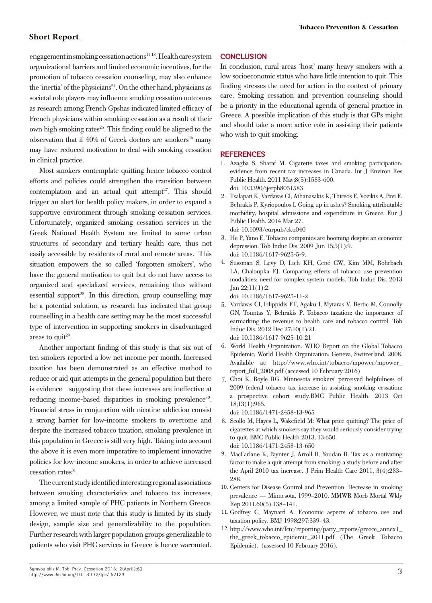# **Short Report**

engagement in smoking cessation actions17,18. Health care system organizational barriers and limited economic incentives, for the promotion of tobacco cessation counseling, may also enhance the 'inertia' of the physicians<sup>24</sup>. On the other hand, physicians as societal role players may influence smoking cessation outcomes as research among French Gpshas indicated limited efficacy of French physicians within smoking cessation as a result of their own high smoking rates<sup>25</sup>. This finding could be aligned to the observation that if  $40\%$  of Greek doctors are smokers<sup>26</sup> many may have reduced motivation to deal with smoking cessation in clinical practice.

Most smokers contemplate quitting hence tobacco control efforts and policies could strengthen the transition between contemplation and an actual quit attempt<sup>27</sup>. This should trigger an alert for health policy makers, in order to expand a supportive environment through smoking cessation services. Unfortunately, organized smoking cessation services in the Greek National Health System are limited to some urban structures of secondary and tertiary health care, thus not easily accessible by residents of rural and remote areas. This situation empowers the so called 'forgotten smokers', who have the general motivation to quit but do not have access to organized and specialized services, remaining thus without essential support<sup>28</sup>. In this direction, group counselling may be a potential solution, as research has indicated that group counselling in a health care setting may be the most successful type of intervention in supporting smokers in disadvantaged areas to  $\text{quit}^{29}$ .

Another important finding of this study is that six out of ten smokers reported a low net income per month. Increased taxation has been demonstrated as an effective method to reduce or aid quit attempts in the general population but there is evidence suggesting that these increases are ineffective at reducing income-based disparities in smoking prevalence<sup>30</sup>. Financial stress in conjunction with nicotine addiction consist a strong barrier for low-income smokers to overcome and despite the increased tobacco taxation, smoking prevalence in this population in Greece is still very high. Taking into account the above it is even more imperative to implement innovative policies for low-income smokers, in order to achieve increased cessation rates<sup>31</sup>.

The current study identified interesting regional associations between smoking characteristics and tobacco tax increases, among a limited sample of PHC patients in Northern Greece. However, we must note that this study is limited by its study design, sample size and generalizability to the population. Further research with larger population groups generalizable to patients who visit PHC services in Greece is hence warranted.

## **Conclusion**

In conclusion, rural areas 'host' many heavy smokers with a low socioeconomic status who have little intention to quit. This finding stresses the need for action in the context of primary care. Smoking cessation and prevention counseling should be a priority in the educational agenda of general practice in Greece. A possible implication of this study is that GPs might and should take a more active role in assisting their patients who wish to quit smoking.

#### **REFERENCES**

- 1. Azagba S, Sharaf M. Cigarette taxes and smoking participation: evidence from recent tax increases in Canada. Int J Environ Res Public Health. 2011 May;8(5):1583-600. doi: 10.3390/ijerph8051583
- Tsalapati K, Vardavas CI, Athanasakis K, Thireos E, Vozikis A, Pavi E, 2. Behrakis P, Kyriopoulos I. Going up in ashes? Smoking-attributable morbidity, hospital admissions and expenditure in Greece. Eur J Public Health. 2014 Mar 27. doi: 10.1093/eurpub/cku040
- 3. He P, Yano E. Tobacco companies are booming despite an economic depression. Tob Induc Dis. 2009 Jun 15;5(1):9. doi: 10.1186/1617-9625-5-9.
- 4. Sussman S, Levy D, Lich KH, Cené CW, Kim MM, Rohrbach LA, Chaloupka FJ. Comparing effects of tobacco use prevention modalities: need for complex system models. Tob Induc Dis. 2013 Jan 22;11(1):2.

doi: 10.1186/1617-9625-11-2

- 5. Vardavas CI, Filippidis FT, Agaku I, Mytaras V, Bertic M, Connolly GN, Tountas Y, Behrakis P. Tobacco taxation: the importance of earmarking the revenue to health care and tobacco control. Tob Induc Dis. 2012 Dec 27;10(1):21. doi: 10.1186/1617-9625-10-21
- World Health Organization. WHO Report on the Global Tobacco Epidemic; World Health Organization: Geneva, Switzerland, 2008. Available at: http://www.who.int/tobacco/mpower/mpower\_ report\_full\_2008.pdf (accessed 10 February 2016) 6.
- 7. Choi K, Boyle RG. Minnesota smokers' perceived helpfulness of 2009 federal tobacco tax increase in assisting smoking cessation: a prospective cohort study.BMC Public Health. 2013 Oct 18;13(1):965.

doi: 10.1186/1471-2458-13-965

- 8. Scollo M, Hayes L, Wakefield M: What price quitting? The price of cigarettes at which smokers say they would seriously consider trying to quit. BMC Public Health 2013, 13:650. doi: 10.1186/1471-2458-13-650
- 9. MacFarlane K, Paynter J, Arroll B, Youdan B: Tax as a motivating factor to make a quit attempt from smoking: a study before and after the April 2010 tax increase. J Prim Health Care 2011, 3(4):283– 288.
- 10. Centers for Disease Control and Prevention: Decrease in smoking prevalence — Minnesota, 1999–2010. MMWR Morb Mortal Wkly Rep 2011,60(5):138–141.
- 11. Godfrey C, Maynard A. Economic aspects of tobacco use and taxation policy. BMJ 1998;297:339–43.
- 12. http://www.who.int/fctc/reporting/party\_reports/greece\_annex1\_ the\_greek\_tobacco\_epidemic\_2011.pdf (The Greek Tobacco Epidemic). (assessed 10 February 2016).